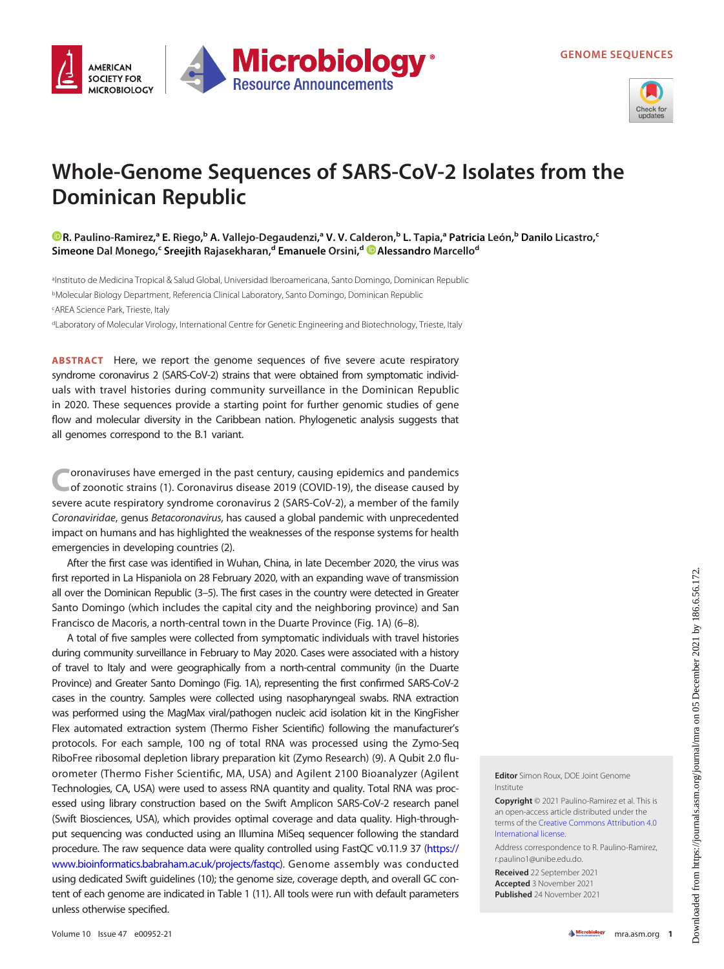



## Whole-Genome Sequences of SARS-CoV-2 Isolates from the Dominican Republic

R. [Paulino-Ramirez,](https://orcid.org/0000-0002-3676-0357)ª E. Riego,<sup>b</sup> A. Vallejo-Degaudenzi,ª V. V. Calderon,<sup>b</sup> L. Tapia,ª Patricia León,<sup>b</sup> Danilo Licastro,<sup>c</sup> Simeone Dal Monego,<sup>c</sup> Sreejith Rajasekharan,<sup>d</sup> Emanuele Orsini,<sup>d @</sup>[Alessandro](https://orcid.org/0000-0002-8903-8202) Marcello<sup>d</sup>

a Instituto de Medicina Tropical & Salud Global, Universidad Iberoamericana, Santo Domingo, Dominican Republic bMolecular Biology Department, Referencia Clinical Laboratory, Santo Domingo, Dominican Republic cAREA Science Park, Trieste, Italy

dLaboratory of Molecular Virology, International Centre for Genetic Engineering and Biotechnology, Trieste, Italy

ABSTRACT Here, we report the genome sequences of five severe acute respiratory syndrome coronavirus 2 (SARS-CoV-2) strains that were obtained from symptomatic individuals with travel histories during community surveillance in the Dominican Republic in 2020. These sequences provide a starting point for further genomic studies of gene flow and molecular diversity in the Caribbean nation. Phylogenetic analysis suggests that all genomes correspond to the B.1 variant.

oronaviruses have emerged in the past century, causing epidemics and pandemics of zoonotic strains ([1](#page-2-0)). Coronavirus disease 2019 (COVID-19), the disease caused by severe acute respiratory syndrome coronavirus 2 (SARS-CoV-2), a member of the family Coronaviridae, genus Betacoronavirus, has caused a global pandemic with unprecedented impact on humans and has highlighted the weaknesses of the response systems for health emergencies in developing countries [\(2](#page-2-1)).

After the first case was identified in Wuhan, China, in late December 2020, the virus was first reported in La Hispaniola on 28 February 2020, with an expanding wave of transmission all over the Dominican Republic [\(3](#page-2-2)[–](#page-2-3)[5](#page-2-4)). The first cases in the country were detected in Greater Santo Domingo (which includes the capital city and the neighboring province) and San Francisco de Macoris, a north-central town in the Duarte Province ([Fig. 1A\)](#page-1-0) [\(6](#page-2-5)[–](#page-2-6)[8](#page-2-7)).

A total of five samples were collected from symptomatic individuals with travel histories during community surveillance in February to May 2020. Cases were associated with a history of travel to Italy and were geographically from a north-central community (in the Duarte Province) and Greater Santo Domingo [\(Fig. 1A](#page-1-0)), representing the first confirmed SARS-CoV-2 cases in the country. Samples were collected using nasopharyngeal swabs. RNA extraction was performed using the MagMax viral/pathogen nucleic acid isolation kit in the KingFisher Flex automated extraction system (Thermo Fisher Scientific) following the manufacturer's protocols. For each sample, 100 ng of total RNA was processed using the Zymo-Seq RiboFree ribosomal depletion library preparation kit (Zymo Research) [\(9\)](#page-2-8). A Qubit 2.0 fluorometer (Thermo Fisher Scientific, MA, USA) and Agilent 2100 Bioanalyzer (Agilent Technologies, CA, USA) were used to assess RNA quantity and quality. Total RNA was processed using library construction based on the Swift Amplicon SARS-CoV-2 research panel (Swift Biosciences, USA), which provides optimal coverage and data quality. High-throughput sequencing was conducted using an Illumina MiSeq sequencer following the standard procedure. The raw sequence data were quality controlled using FastQC v0.11.9 37 [\(https://](https://www.bioinformatics.babraham.ac.uk/projects/fastqc) [www.bioinformatics.babraham.ac.uk/projects/fastqc](https://www.bioinformatics.babraham.ac.uk/projects/fastqc)). Genome assembly was conducted using dedicated Swift guidelines [\(10\)](#page-2-9); the genome size, coverage depth, and overall GC content of each genome are indicated in [Table 1](#page-1-1) [\(11](#page-2-10)). All tools were run with default parameters unless otherwise specified.

Editor Simon Roux, DOE Joint Genome Institute

Copyright © 2021 Paulino-Ramirez et al. This is an open-access article distributed under the terms of the [Creative Commons Attribution 4.0](https://creativecommons.org/licenses/by/4.0/) [International license](https://creativecommons.org/licenses/by/4.0/).

Address correspondence to R. Paulino-Ramirez, r.paulino1@unibe.edu.do.

Received 22 September 2021 Accepted 3 November 2021 Published 24 November 2021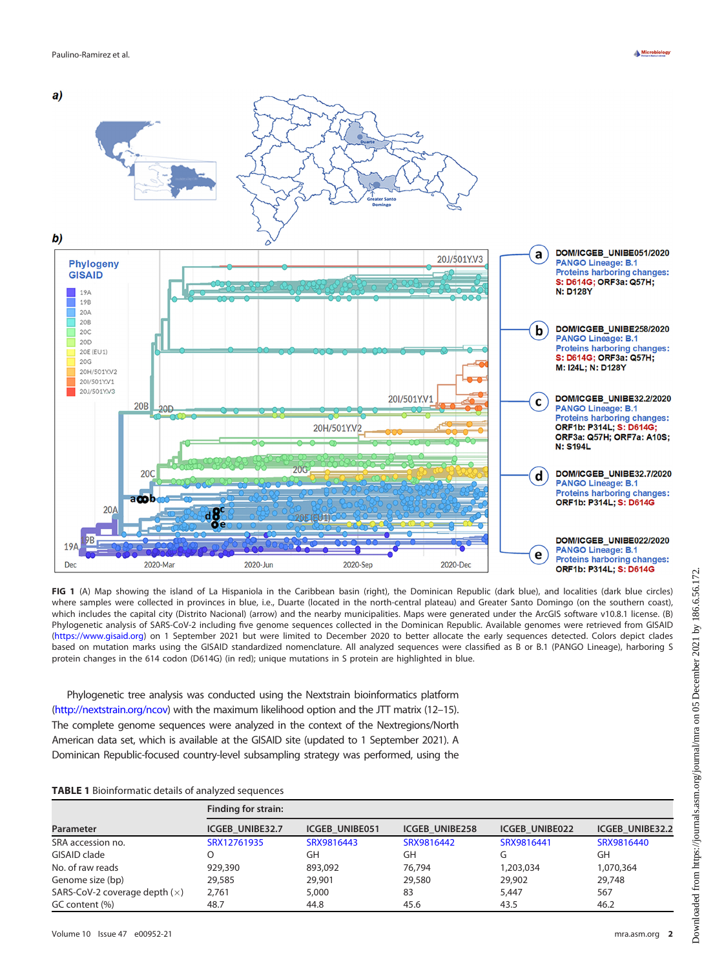

<span id="page-1-0"></span>FIG 1 (A) Map showing the island of La Hispaniola in the Caribbean basin (right), the Dominican Republic (dark blue), and localities (dark blue circles) where samples were collected in provinces in blue, i.e., Duarte (located in the north-central plateau) and Greater Santo Domingo (on the southern coast), which includes the capital city (Distrito Nacional) (arrow) and the nearby municipalities. Maps were generated under the ArcGIS software v10.8.1 license. (B) Phylogenetic analysis of SARS-CoV-2 including five genome sequences collected in the Dominican Republic. Available genomes were retrieved from GISAID [\(https://www.gisaid.org](https://www.gisaid.org)) on 1 September 2021 but were limited to December 2020 to better allocate the early sequences detected. Colors depict clades based on mutation marks using the GISAID standardized nomenclature. All analyzed sequences were classified as B or B.1 (PANGO Lineage), harboring S protein changes in the 614 codon (D614G) (in red); unique mutations in S protein are highlighted in blue.

2020-Sep

2020-Dec

Phylogenetic tree analysis was conducted using the Nextstrain bioinformatics platform [\(http://nextstrain.org/ncov](http://nextstrain.org/ncov)) with the maximum likelihood option and the JTT matrix [\(12](#page-2-11)–[15\)](#page-2-12). The complete genome sequences were analyzed in the context of the Nextregions/North American data set, which is available at the GISAID site (updated to 1 September 2021). A Dominican Republic-focused country-level subsampling strategy was performed, using the

2020-Jun

## <span id="page-1-1"></span>TABLE 1 Bioinformatic details of analyzed sequences

2020-Mar

| Parameter                       | Finding for strain:    |                       |                       |                       |                        |
|---------------------------------|------------------------|-----------------------|-----------------------|-----------------------|------------------------|
|                                 | <b>ICGEB UNIBE32.7</b> | <b>ICGEB UNIBE051</b> | <b>ICGEB UNIBE258</b> | <b>ICGEB UNIBE022</b> | <b>ICGEB UNIBE32.2</b> |
| SRA accession no.               | SRX12761935            | SRX9816443            | SRX9816442            | SRX9816441            | SRX9816440             |
| GISAID clade                    |                        | GH                    | GH                    | G                     | GH                     |
| No. of raw reads                | 929,390                | 893,092               | 76,794                | 1,203,034             | 1,070,364              |
| Genome size (bp)                | 29,585                 | 29,901                | 29,580                | 29,902                | 29,748                 |
| SARS-CoV-2 coverage depth $(x)$ | 2.761                  | 5,000                 | 83                    | 5,447                 | 567                    |
| GC content (%)                  | 48.7                   | 44.8                  | 45.6                  | 43.5                  | 46.2                   |

Dec

Proteins harboring changes:

ORF1b: P314L; S: D614G